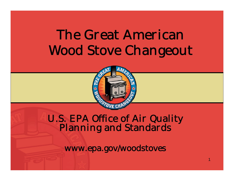# The Great AmericanWood Stove Changeout



# U.S. EPA Office of Air Quality Planning and Standards

www.epa.gov/woodstoves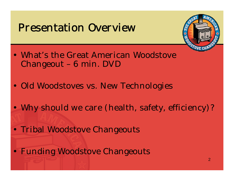#### Presentation Overview



- What's the Great American Woodstove Changeout – 6 min. DVD
- Old Woodstoves vs. New Technologies
- Why should we care (health, safety, efficiency)?
- Tribal Woodstove Changeouts
- Funding Woodstove Changeouts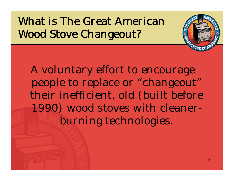What is The Great American Wood Stove Changeout?

A voluntary effort to encourage people to replace or "changeout" their inefficient, old (built before 1990) wood stoves with cleanerburning technologies.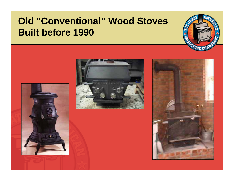#### **Old "Conventional" Wood Stoves Built before 1990**







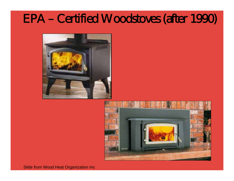## EPA – Certified Woodstoves (after 1990)





Slide from Wood Heat Organization Inc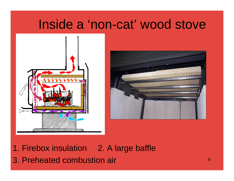## Inside a 'non-cat' wood stove





1. Firebox insulation 2. A large baffle

3. Preheated combustion air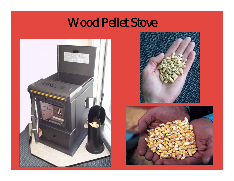## Wood Pellet Stove



![](_page_6_Picture_2.jpeg)

![](_page_6_Picture_3.jpeg)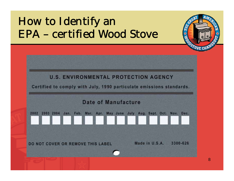## How to Identify an EPA – certified Wood Stove

![](_page_7_Figure_1.jpeg)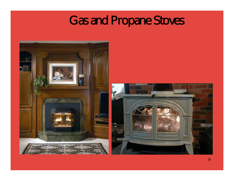## Gas and Propane Stoves

![](_page_8_Picture_1.jpeg)

![](_page_8_Picture_2.jpeg)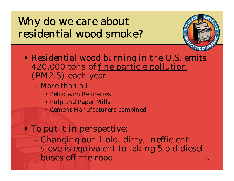## Why do we care about residential wood smoke?

![](_page_9_Picture_1.jpeg)

- Residential wood burning in the U.S. emits 420,000 tons of fine particle pollution (PM2.5) each year
	- More than all
		- Petroleum Refineries
		- Pulp and Paper Mills
		- Cement Manufacturers combined

#### • To put it in perspective:

 Changing out 1 old, dirty, inefficient stove is equivalent to taking 5 old diesel buses off the road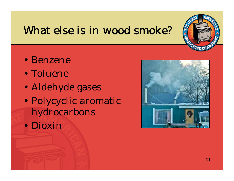#### What else is in wood smoke?

- Benzene
- Toluene
- $\bullet$ Aldehyde gases
- $\bullet$  Polycyclic aromatic hydrocarbons
- Dioxin

![](_page_10_Picture_6.jpeg)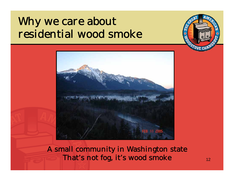## Why we care about residential wood smoke

![](_page_11_Picture_1.jpeg)

A small community in Washington state That's not fog, it's wood smoke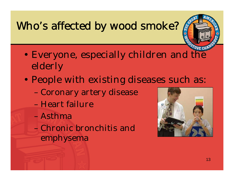## Who's affected by wood smoke?

- $\bullet$  Everyone, especially children and the elderly
- $\bullet$  People with existing diseases such as:
	- Coronary artery disease
	- Heart failure
	- Asthma
	- Chronic bronchitis and emphysema

![](_page_12_Picture_7.jpeg)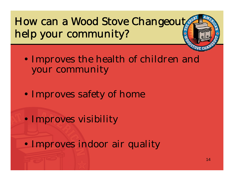How can a Wood Stove Changeout help your community?

- $\bullet$  Improves the health of children and your community
- $\bullet$ Improves safety of home
- $\bullet$ Improves visibility

 $\bullet$ Improves indoor air quality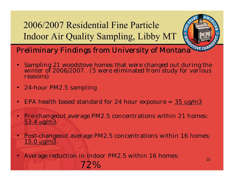2006/2007 Residential Fine Particle Indoor Air Quality Sampling, Libby MT

![](_page_14_Picture_1.jpeg)

- •Sampling 21 woodstove homes that were changed out during the winter of 2006/2007. (5 were eliminated from study for various reasons)
- $\bullet$ 24-hour PM2.5 sampling
- •EPA health based standard for 24 hour exposure =  $35 \text{ ug/m}3$
- •Pre-changeout average PM2.5 concentrations within 21 homes:  $\mu$ g/m3.
- •Post-changeout average PM2.5 concentrations within 16 homes: <u>μg/m3</u>.
- • Average reduction in indoor PM2.5 within 16 homes: 72%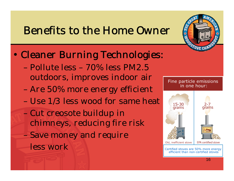#### Benefits to the Home Owner

- $\bullet$  Cleaner Burning Technologies:
	- Pollute less 70% less PM2.5 outdoors, improves indoor air
	- Are 50% more energy efficient
	- Use 1/3 less wood for same heat
	- Cut creosote buildup in chimneys, reducing fire risk Save money and require less work

![](_page_15_Figure_6.jpeg)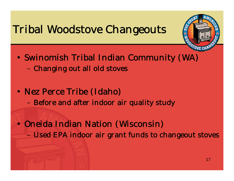## Tribal Woodstove Changeouts

![](_page_16_Picture_1.jpeg)

- Swinomish Tribal Indian Community (WA) Changing out all old stoves
- Nez Perce Tribe (Idaho) – Before and after indoor air quality study

• Oneida Indian Nation (Wisconsin) Used EPA indoor air grant funds to changeout stoves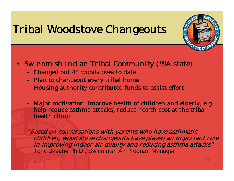## Tribal Woodstove Changeouts

![](_page_17_Picture_1.jpeg)

- Swinomish Indian Tribal Community (WA state)
	- Changed out 44 woodstoves to date
	- Plan to changeout every tribal home
	- –Housing authority contributed funds to assist effort
	- <u>Major motivation</u>: improve health of children and elderly, e.g.,  $\,$ help reduce asthma attacks, reduce health cost at the tribal health clinic

"Based on conversations with parents who have asthmatic children, wood stove changeouts have played an important role in improving indoor air quality and reducing asthma attacks" Tony Basabe Ph.D., Swinomish Air Program Manager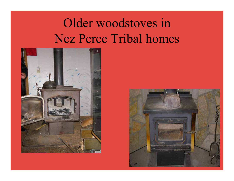# Older woodstoves in Nez Perce Tribal homes

![](_page_18_Picture_1.jpeg)

![](_page_18_Picture_2.jpeg)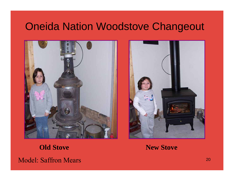#### Oneida Nation Woodstove Changeout

![](_page_19_Picture_1.jpeg)

![](_page_19_Picture_2.jpeg)

Model: Saffron Mears

**Old Stove New Stove**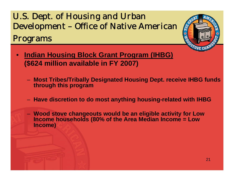#### U.S. Dept. of Housing and Urban Development – Office of Native American Programs

- $\bullet$  **Indian Housing Block Grant Program (IHBG) (\$624 million available in FY 2007)** 
	- **Most Tribes/Tribally Designated Housing Dept. receive IHBG funds through this program**
	- **Have discretion to do most anything housing-related with IHBG**
	- **Wood stove changeouts would be an eligible activity for Low Income households (80% of the Area Median Income = Low Income)**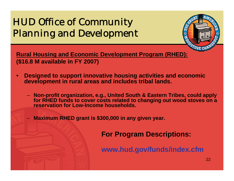#### HUD Office of Community Planning and Development

![](_page_21_Picture_1.jpeg)

**Rural Housing and Economic Development Program (RHED): (\$16.8 M available in FY 2007)**

- $\bullet$  **Designed to support innovative housing activities and economic development in rural areas and includes tribal lands.** 
	- **Non-profit organization, e.g., United South & Eastern Tribes, could apply for RHED funds to cover costs related to changing out wood stoves on a reservation for Low-Income households.**
	- **Maximum RHED grant is \$300,000 in any given year.**

**For Program Descriptions:** 

**www.hud.gov/funds/index.cfm**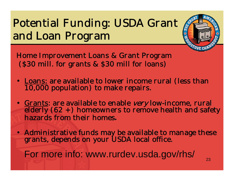## Potential Funding: USDA Grant and Loan Program

![](_page_22_Picture_1.jpeg)

Home Improvement Loans & Grant Program (\$30 mill. for grants & \$30 mill for loans)

- Loans: are available to lower income rural (less than 10,000 population) to make repairs.
- Grants: are available to enable very low-income, rural  $\overline{ederly}$  (62 +) homeowners to remove health and safety hazards from their homes*.*
- Administrative funds may be available to manage these grants, depends on your USDA local office.

For more info: www.rurdev.usda.gov/rhs/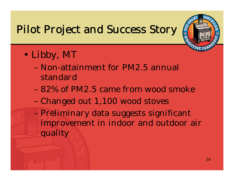## Pilot Project and Success Story

![](_page_23_Picture_1.jpeg)

- $\bullet$  Libby, MT
	- Non-attainment for PM2.5 annual standard
	- 82% of PM2.5 came from wood smoke
	- Changed out 1,100 wood stoves
	- Preliminary data suggests significant improvement in indoor and outdoor air quality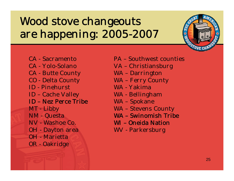## Wood stove changeouts are happening: 2005-2007

![](_page_24_Picture_1.jpeg)

- PA Southwest counties
- VA Christiansburg
- WA Darrington
- WA Ferry County
- WA Yakima
- WA Bellingham
- WA Spokane
- WA Stevens County
- WA Swinomish Tribe
- WI Oneida Nation
- WV Parkersburg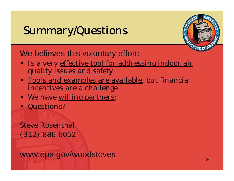## Summary/Questions

![](_page_25_Picture_1.jpeg)

We believes this voluntary effort:

- Is a very <u>effective tool for addressing indoor air</u> quality issues and safety
- <u>Tools and examples are available</u>, but financial incentives are a challenge
- We have <u>willing partners</u>;
- Questions?

#### Steve Rosenthal (312) 886-6052

www.epa.gov/woodstoves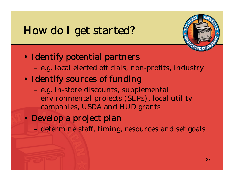## How do I get started?

![](_page_26_Picture_1.jpeg)

#### • Identify potential partners

- e.g. local elected officials, non-profits, industry
- Identify sources of funding
	- e.g. in-store discounts, supplemental environmental projects (SEPs), local utility companies, USDA and HUD grants
- Develop a project plan
	- determine staff, timing, resources and set goals